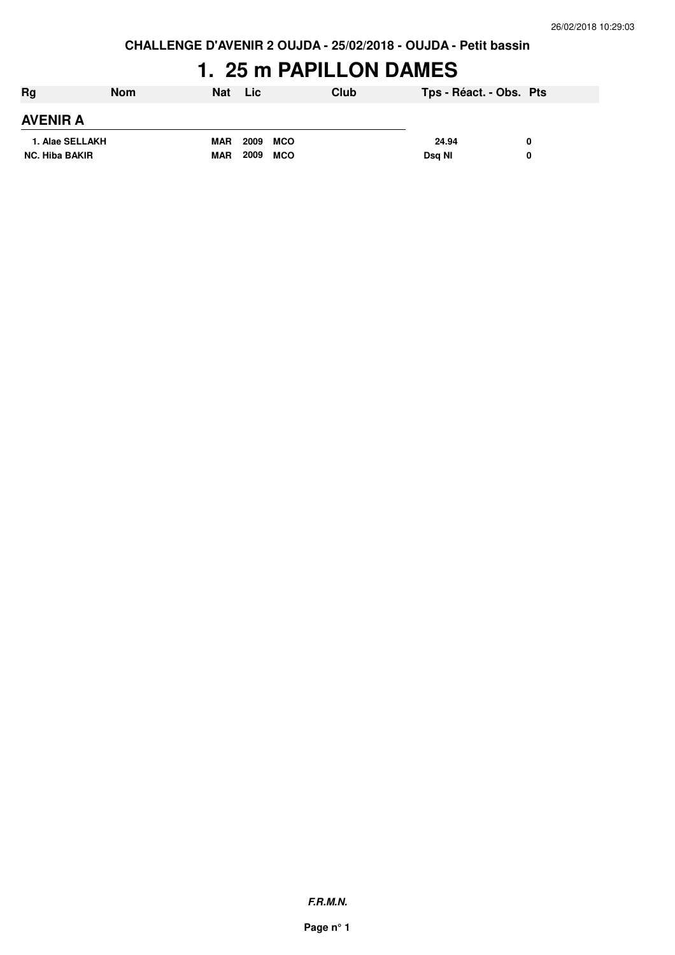## **1. 25 m PAPILLON DAMES**

| Rg                    | <b>Nom</b> | <b>Nat</b> | Lic      | Club | Tps - Réact. - Obs. Pts |   |
|-----------------------|------------|------------|----------|------|-------------------------|---|
| <b>AVENIR A</b>       |            |            |          |      |                         |   |
| 1. Alae SELLAKH       |            | <b>MAR</b> | 2009 MCO |      | 24.94                   |   |
| <b>NC. Hiba BAKIR</b> |            | <b>MAR</b> | 2009 MCO |      | Dsg NI                  | 0 |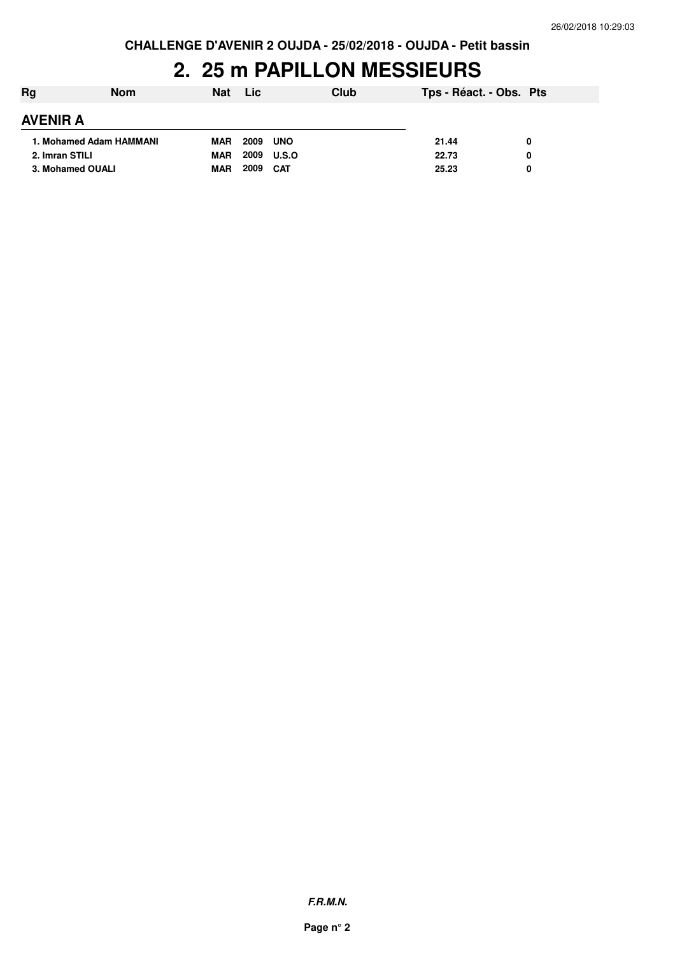#### **2. 25 m PAPILLON MESSIEURS**

| Rg              | <b>Nom</b>              | <b>Nat</b> | Lic  | <b>Club</b>  | Tps - Réact. - Obs. Pts |  |
|-----------------|-------------------------|------------|------|--------------|-------------------------|--|
| <b>AVENIR A</b> |                         |            |      |              |                         |  |
|                 | 1. Mohamed Adam HAMMANI | MAR        | 2009 | <b>UNO</b>   | 21.44                   |  |
| 2. Imran STILI  |                         | <b>MAR</b> | 2009 | <b>U.S.O</b> | 22.73                   |  |
|                 | 3. Mohamed OUALI        | <b>MAR</b> | 2009 | <b>CAT</b>   | 25.23                   |  |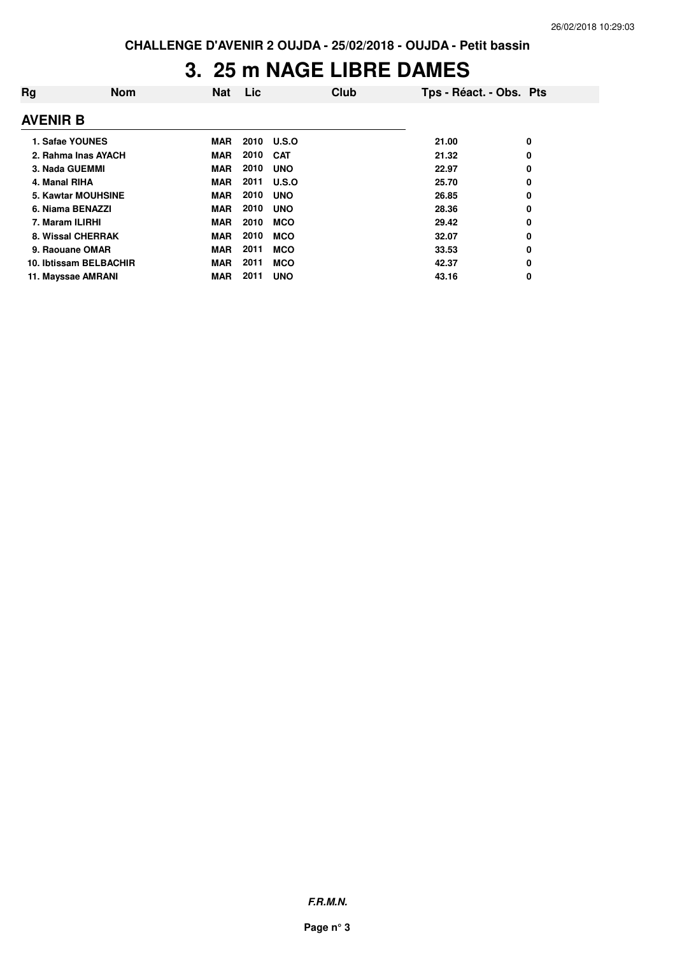### **3. 25 m NAGE LIBRE DAMES**

| Rg              | <b>Nom</b>                | <b>Nat</b> | Lic. | Club         | Tps - Réact. - Obs. Pts |   |
|-----------------|---------------------------|------------|------|--------------|-------------------------|---|
| AVENIR B        |                           |            |      |              |                         |   |
|                 | 1. Safae YOUNES           | <b>MAR</b> | 2010 | <b>U.S.O</b> | 21.00                   | 0 |
|                 | 2. Rahma Inas AYACH       | <b>MAR</b> | 2010 | <b>CAT</b>   | 21.32                   | 0 |
| 3. Nada GUEMMI  |                           | <b>MAR</b> | 2010 | <b>UNO</b>   | 22.97                   | 0 |
| 4. Manal RIHA   |                           | <b>MAR</b> | 2011 | U.S.O        | 25.70                   | 0 |
|                 | <b>5. Kawtar MOUHSINE</b> | <b>MAR</b> | 2010 | <b>UNO</b>   | 26.85                   | 0 |
|                 | 6. Niama BENAZZI          | MAR        | 2010 | <b>UNO</b>   | 28.36                   | 0 |
| 7. Maram ILIRHI |                           | <b>MAR</b> | 2010 | <b>MCO</b>   | 29.42                   | 0 |
|                 | 8. Wissal CHERRAK         | <b>MAR</b> | 2010 | <b>MCO</b>   | 32.07                   | 0 |
|                 | 9. Raouane OMAR           | <b>MAR</b> | 2011 | <b>MCO</b>   | 33.53                   | 0 |
|                 | 10. Ibtissam BELBACHIR    | <b>MAR</b> | 2011 | <b>MCO</b>   | 42.37                   | 0 |
|                 | 11. Mayssae AMRANI        | <b>MAR</b> | 2011 | <b>UNO</b>   | 43.16                   | 0 |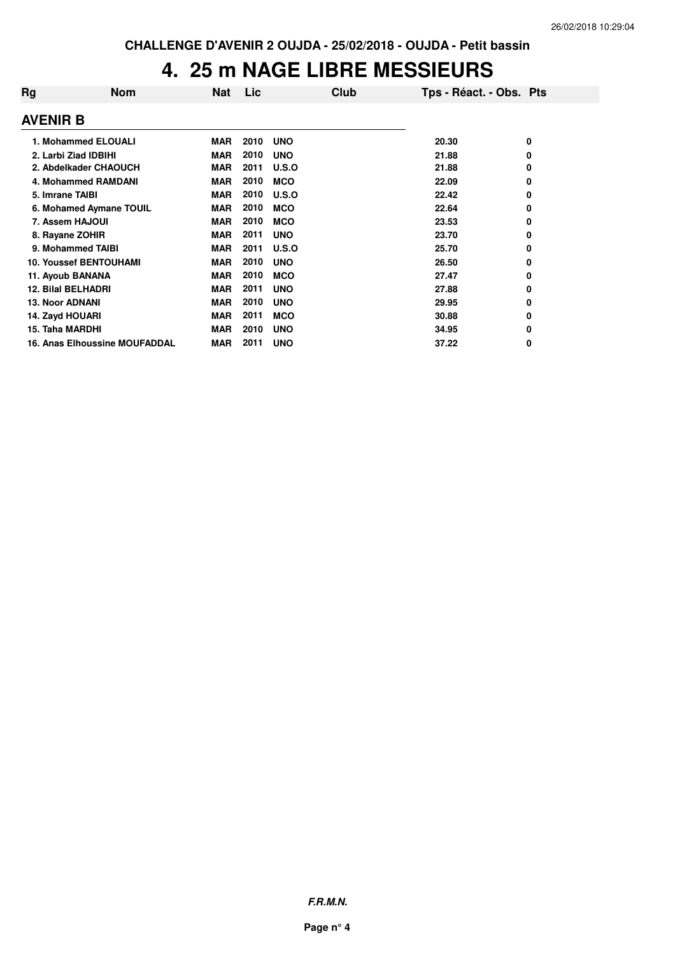## **4. 25 m NAGE LIBRE MESSIEURS**

| Rg                        | <b>Nom</b>                           | Nat        | Lic  | Club       | Tps - Réact. - Obs. Pts |   |
|---------------------------|--------------------------------------|------------|------|------------|-------------------------|---|
| <b>AVENIR B</b>           |                                      |            |      |            |                         |   |
|                           | 1. Mohammed ELOUALI                  | <b>MAR</b> | 2010 | <b>UNO</b> | 20.30                   | 0 |
|                           | 2. Larbi Ziad IDBIHI                 | <b>MAR</b> | 2010 | <b>UNO</b> | 21.88                   | 0 |
|                           | 2. Abdelkader CHAOUCH                | <b>MAR</b> | 2011 | U.S.O      | 21.88                   | 0 |
|                           | 4. Mohammed RAMDANI                  | <b>MAR</b> | 2010 | <b>MCO</b> | 22.09                   | 0 |
| 5. Imrane TAIBI           |                                      | <b>MAR</b> | 2010 | U.S.O      | 22.42                   | 0 |
|                           | 6. Mohamed Aymane TOUIL              | <b>MAR</b> | 2010 | <b>MCO</b> | 22.64                   | 0 |
| 7. Assem HAJOUI           |                                      | <b>MAR</b> | 2010 | <b>MCO</b> | 23.53                   | 0 |
| 8. Rayane ZOHIR           |                                      | <b>MAR</b> | 2011 | <b>UNO</b> | 23.70                   | 0 |
|                           | 9. Mohammed TAIBI                    | <b>MAR</b> | 2011 | U.S.O      | 25.70                   | 0 |
|                           | <b>10. Youssef BENTOUHAMI</b>        | <b>MAR</b> | 2010 | <b>UNO</b> | 26.50                   | 0 |
| 11. Ayoub BANANA          |                                      | <b>MAR</b> | 2010 | <b>MCO</b> | 27.47                   | 0 |
| <b>12. Bilal BELHADRI</b> |                                      | <b>MAR</b> | 2011 | <b>UNO</b> | 27.88                   | 0 |
| <b>13. Noor ADNANI</b>    |                                      | <b>MAR</b> | 2010 | <b>UNO</b> | 29.95                   | 0 |
| 14. Zayd HOUARI           |                                      | <b>MAR</b> | 2011 | <b>MCO</b> | 30.88                   | 0 |
| 15. Taha MARDHI           |                                      | <b>MAR</b> | 2010 | <b>UNO</b> | 34.95                   | 0 |
|                           | <b>16. Anas Elhoussine MOUFADDAL</b> | <b>MAR</b> | 2011 | <b>UNO</b> | 37.22                   | 0 |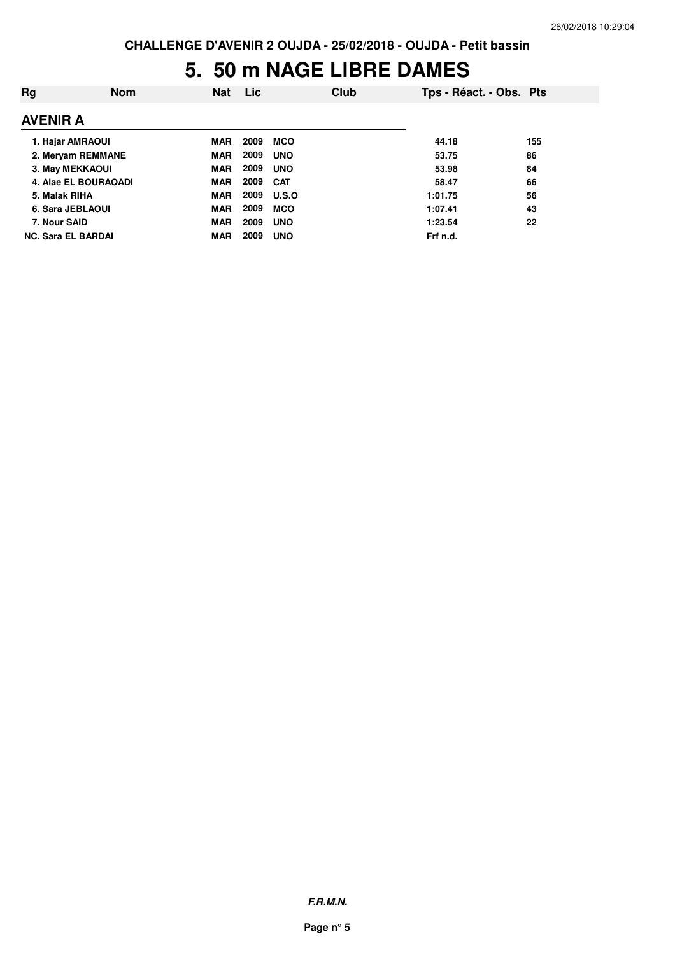### **5. 50 m NAGE LIBRE DAMES**

| Rg              | <b>Nom</b>                | <b>Nat</b> | Lic  |              | Club | Tps - Réact. - Obs. Pts |     |
|-----------------|---------------------------|------------|------|--------------|------|-------------------------|-----|
| <b>AVENIR A</b> |                           |            |      |              |      |                         |     |
|                 | 1. Hajar AMRAOUI          | <b>MAR</b> | 2009 | <b>MCO</b>   |      | 44.18                   | 155 |
|                 | 2. Meryam REMMANE         | <b>MAR</b> | 2009 | <b>UNO</b>   |      | 53.75                   | 86  |
|                 | 3. May MEKKAOUI           | <b>MAR</b> | 2009 | <b>UNO</b>   |      | 53.98                   | 84  |
|                 | 4. Alae EL BOURAQADI      | <b>MAR</b> | 2009 | <b>CAT</b>   |      | 58.47                   | 66  |
| 5. Malak RIHA   |                           | <b>MAR</b> | 2009 | <b>U.S.O</b> |      | 1:01.75                 | 56  |
|                 | 6. Sara JEBLAOUI          | <b>MAR</b> | 2009 | <b>MCO</b>   |      | 1:07.41                 | 43  |
| 7. Nour SAID    |                           | <b>MAR</b> | 2009 | <b>UNO</b>   |      | 1:23.54                 | 22  |
|                 | <b>NC. Sara EL BARDAI</b> | <b>MAR</b> | 2009 | <b>UNO</b>   |      | Frf n.d.                |     |

**F.R.M.N.**

**Page n° 5**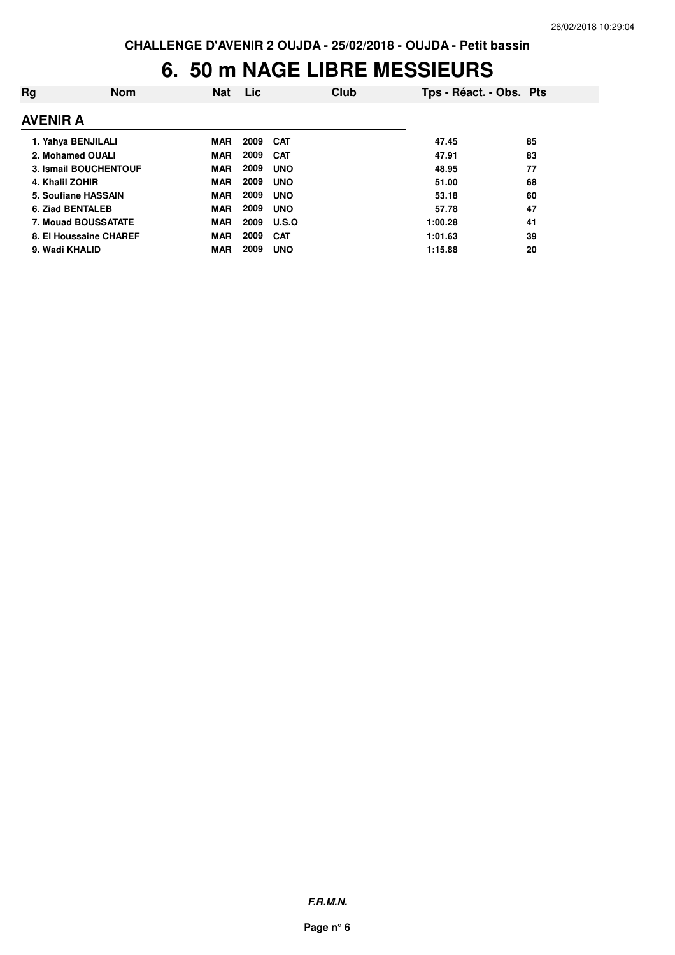### **6. 50 m NAGE LIBRE MESSIEURS**

| Rg              | <b>Nom</b>                   | <b>Nat</b> | Lic  | Club       | Tps - Réact. - Obs. Pts |    |
|-----------------|------------------------------|------------|------|------------|-------------------------|----|
| <b>AVENIR A</b> |                              |            |      |            |                         |    |
|                 | 1. Yahya BENJILALI           | <b>MAR</b> | 2009 | <b>CAT</b> | 47.45                   | 85 |
|                 | 2. Mohamed OUALI             | <b>MAR</b> | 2009 | <b>CAT</b> | 47.91                   | 83 |
|                 | <b>3. Ismail BOUCHENTOUF</b> | <b>MAR</b> | 2009 | <b>UNO</b> | 48.95                   | 77 |
| 4. Khalil ZOHIR |                              | <b>MAR</b> | 2009 | <b>UNO</b> | 51.00                   | 68 |
|                 | 5. Soufiane HASSAIN          | <b>MAR</b> | 2009 | <b>UNO</b> | 53.18                   | 60 |
|                 | <b>6. Ziad BENTALEB</b>      | <b>MAR</b> | 2009 | <b>UNO</b> | 57.78                   | 47 |
|                 | 7. Mouad BOUSSATATE          | <b>MAR</b> | 2009 | U.S.O      | 1:00.28                 | 41 |
|                 | 8. El Houssaine CHAREF       | <b>MAR</b> | 2009 | <b>CAT</b> | 1:01.63                 | 39 |
|                 | 9. Wadi KHALID               | <b>MAR</b> | 2009 | <b>UNO</b> | 1:15.88                 | 20 |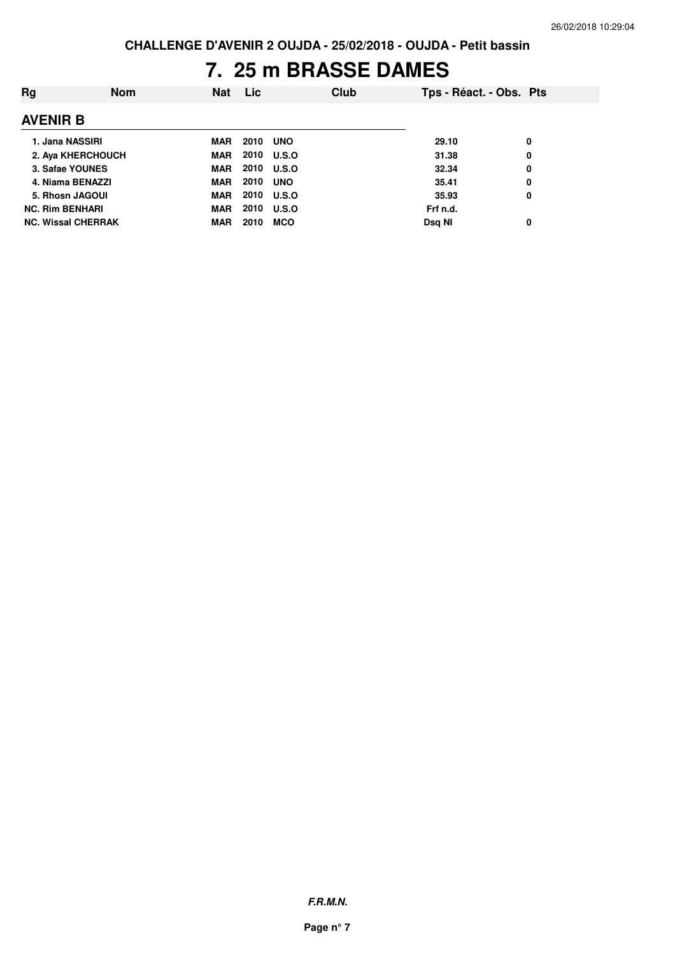## **7. 25 m BRASSE DAMES**

| Rg                        | <b>Nom</b> | <b>Nat</b> | <b>Lic</b> |              | Club | Tps - Réact. - Obs. Pts |   |
|---------------------------|------------|------------|------------|--------------|------|-------------------------|---|
| <b>AVENIR B</b>           |            |            |            |              |      |                         |   |
| 1. Jana NASSIRI           |            | MAR        | 2010       | <b>UNO</b>   |      | 29.10                   | 0 |
| 2. Aya KHERCHOUCH         |            | <b>MAR</b> | 2010       | <b>U.S.O</b> |      | 31.38                   | 0 |
| 3. Safae YOUNES           |            | <b>MAR</b> | 2010       | <b>U.S.O</b> |      | 32.34                   | 0 |
| 4. Niama BENAZZI          |            | <b>MAR</b> | 2010       | <b>UNO</b>   |      | 35.41                   | 0 |
| 5. Rhosn JAGOUI           |            | <b>MAR</b> | 2010       | <b>U.S.O</b> |      | 35.93                   | 0 |
| <b>NC. Rim BENHARI</b>    |            | <b>MAR</b> | 2010       | U.S.O        |      | Frf n.d.                |   |
| <b>NC. Wissal CHERRAK</b> |            | <b>MAR</b> | 2010       | <b>MCO</b>   |      | Dsg NI                  | 0 |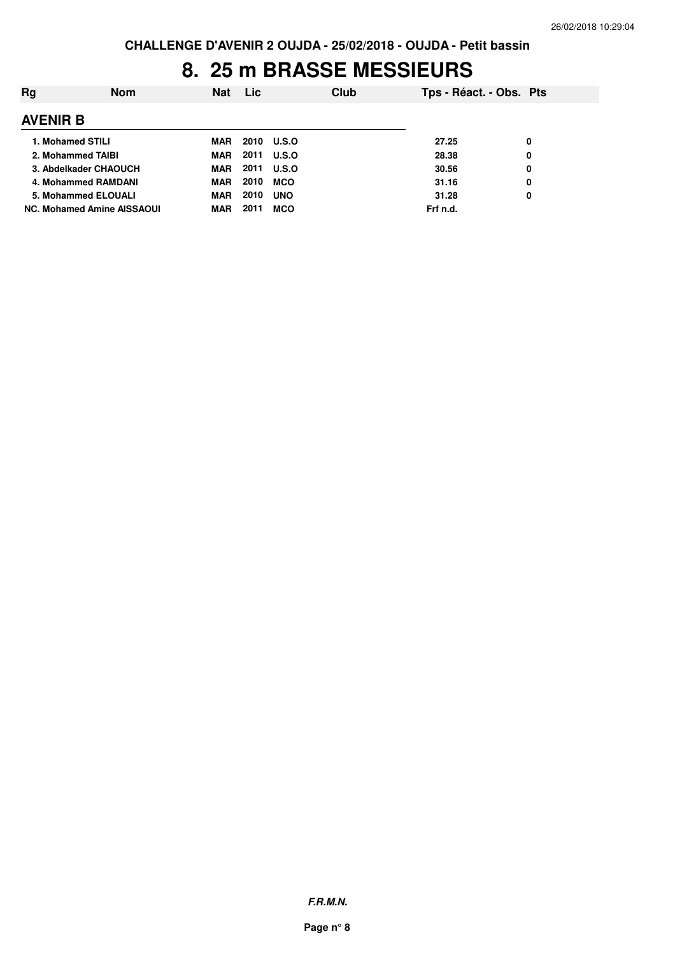### **8. 25 m BRASSE MESSIEURS**

| Rg                                | <b>Nom</b> | <b>Nat</b> | <b>Lic</b> |              | Club | Tps - Réact. - Obs. Pts |   |
|-----------------------------------|------------|------------|------------|--------------|------|-------------------------|---|
| <b>AVENIR B</b>                   |            |            |            |              |      |                         |   |
| 1. Mohamed STILI                  |            | MAR        | 2010       | <b>U.S.O</b> |      | 27.25                   | 0 |
| 2. Mohammed TAIBI                 |            | MAR        | 2011       | U.S.O        |      | 28.38                   | 0 |
| 3. Abdelkader CHAOUCH             |            | MAR        | 2011       | U.S.O        |      | 30.56                   | 0 |
| 4. Mohammed RAMDANI               |            | <b>MAR</b> | 2010       | <b>MCO</b>   |      | 31.16                   | 0 |
| 5. Mohammed ELOUALI               |            | <b>MAR</b> | 2010       | <b>UNO</b>   |      | 31.28                   | 0 |
| <b>NC. Mohamed Amine AISSAOUI</b> |            | <b>MAR</b> | 2011       | <b>MCO</b>   |      | Frf n.d.                |   |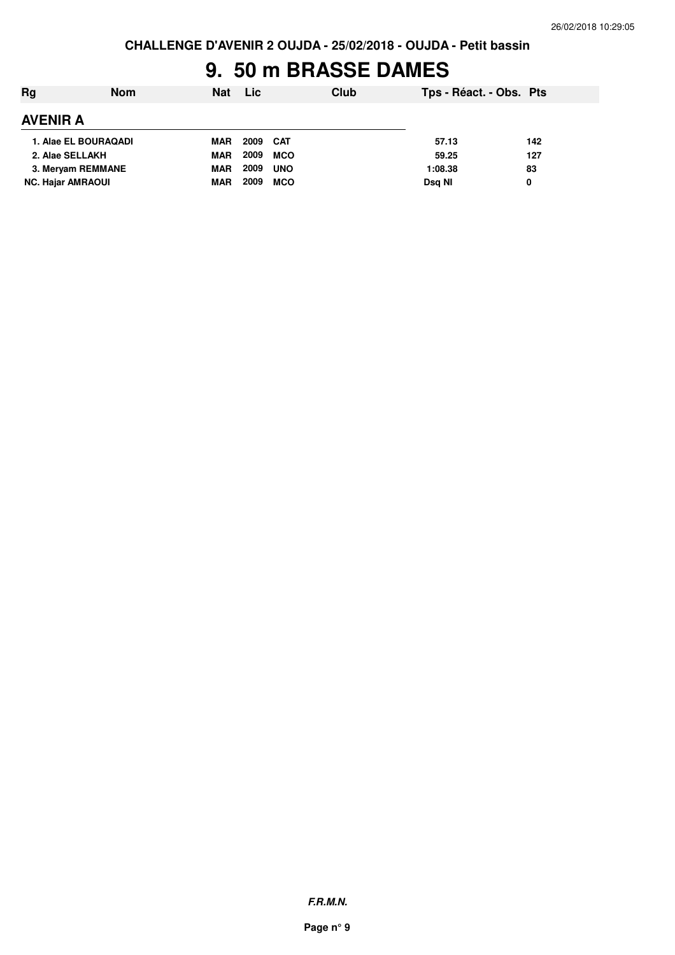## **9. 50 m BRASSE DAMES**

| Rg                       | <b>Nom</b> | <b>Nat</b> | <b>Lic</b> |            | Club | Tps - Réact. - Obs. Pts |     |
|--------------------------|------------|------------|------------|------------|------|-------------------------|-----|
| <b>AVENIR A</b>          |            |            |            |            |      |                         |     |
| 1. Alae EL BOURAQADI     |            | <b>MAR</b> | 2009       | <b>CAT</b> |      | 57.13                   | 142 |
| 2. Alae SELLAKH          |            | MAR        | 2009       | <b>MCO</b> |      | 59.25                   | 127 |
| 3. Meryam REMMANE        |            | <b>MAR</b> | 2009       | <b>UNO</b> |      | 1:08.38                 | 83  |
| <b>NC. Hajar AMRAOUI</b> |            | <b>MAR</b> | 2009       | <b>MCO</b> |      | Dsg NI                  |     |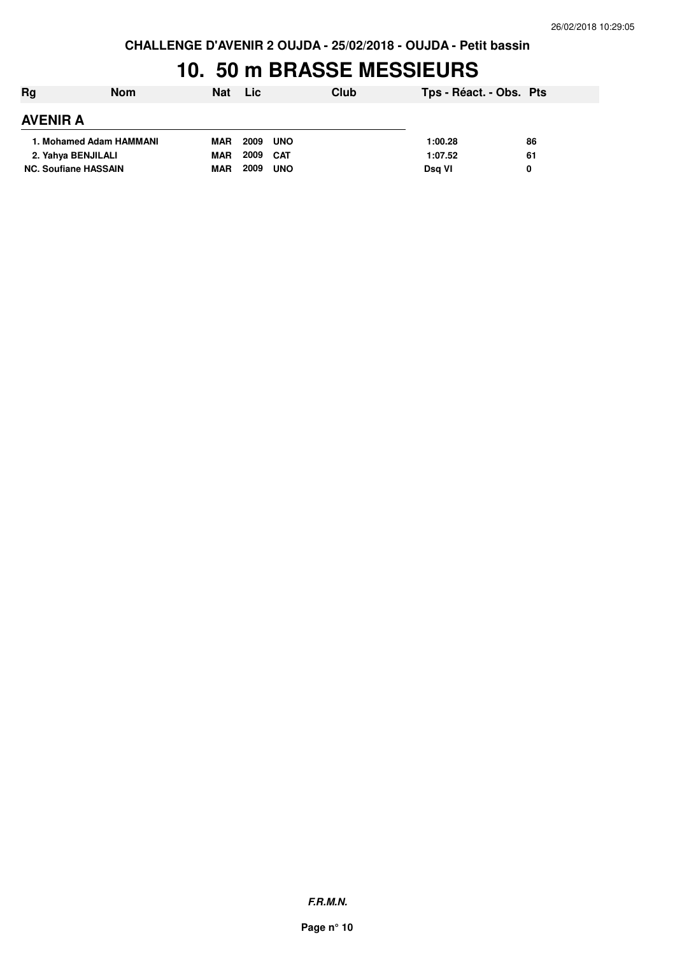### **10. 50 m BRASSE MESSIEURS**

| Rg<br><b>Nom</b>            | <b>Nat</b> | Lic  |            | Club | Tps - Réact. - Obs. Pts |    |
|-----------------------------|------------|------|------------|------|-------------------------|----|
| <b>AVENIR A</b>             |            |      |            |      |                         |    |
| 1. Mohamed Adam HAMMANI     | <b>MAR</b> | 2009 | <b>UNO</b> |      | 1:00.28                 | 86 |
| 2. Yahya BENJILALI          | <b>MAR</b> | 2009 | CAT        |      | 1:07.52                 | 61 |
| <b>NC. Soufiane HASSAIN</b> | <b>MAR</b> | 2009 | <b>UNO</b> |      | Dsg VI                  | 0  |

**F.R.M.N.**

**Page n° 10**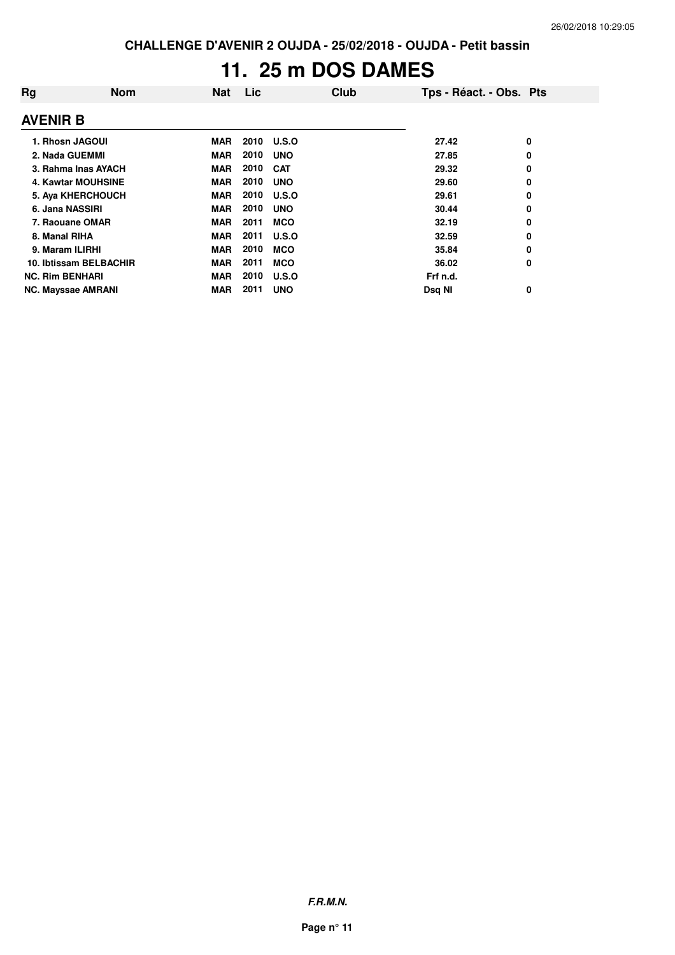## **11. 25 m DOS DAMES**

| Rg              | <b>Nom</b>                | <b>Nat</b> | Lic  | Club       | Tps - Réact. - Obs. Pts |   |
|-----------------|---------------------------|------------|------|------------|-------------------------|---|
| <b>AVENIR B</b> |                           |            |      |            |                         |   |
|                 | 1. Rhosn JAGOUI           | <b>MAR</b> | 2010 | U.S.O      | 27.42                   | 0 |
|                 | 2. Nada GUEMMI            | <b>MAR</b> | 2010 | <b>UNO</b> | 27.85                   | 0 |
|                 | 3. Rahma Inas AYACH       | <b>MAR</b> | 2010 | <b>CAT</b> | 29.32                   | 0 |
|                 | 4. Kawtar MOUHSINE        | <b>MAR</b> | 2010 | <b>UNO</b> | 29.60                   | 0 |
|                 | 5. Aya KHERCHOUCH         | <b>MAR</b> | 2010 | U.S.O      | 29.61                   | 0 |
|                 | 6. Jana NASSIRI           | <b>MAR</b> | 2010 | <b>UNO</b> | 30.44                   | 0 |
|                 | 7. Raouane OMAR           | <b>MAR</b> | 2011 | <b>MCO</b> | 32.19                   | 0 |
|                 | 8. Manal RIHA             | <b>MAR</b> | 2011 | U.S.O      | 32.59                   | 0 |
|                 | 9. Maram ILIRHI           | <b>MAR</b> | 2010 | <b>MCO</b> | 35.84                   | 0 |
|                 | 10. Ibtissam BELBACHIR    | <b>MAR</b> | 2011 | <b>MCO</b> | 36.02                   | 0 |
|                 | <b>NC. Rim BENHARI</b>    | <b>MAR</b> | 2010 | U.S.O      | Frf n.d.                |   |
|                 | <b>NC. Mayssae AMRANI</b> | <b>MAR</b> | 2011 | <b>UNO</b> | Dsq NI                  | 0 |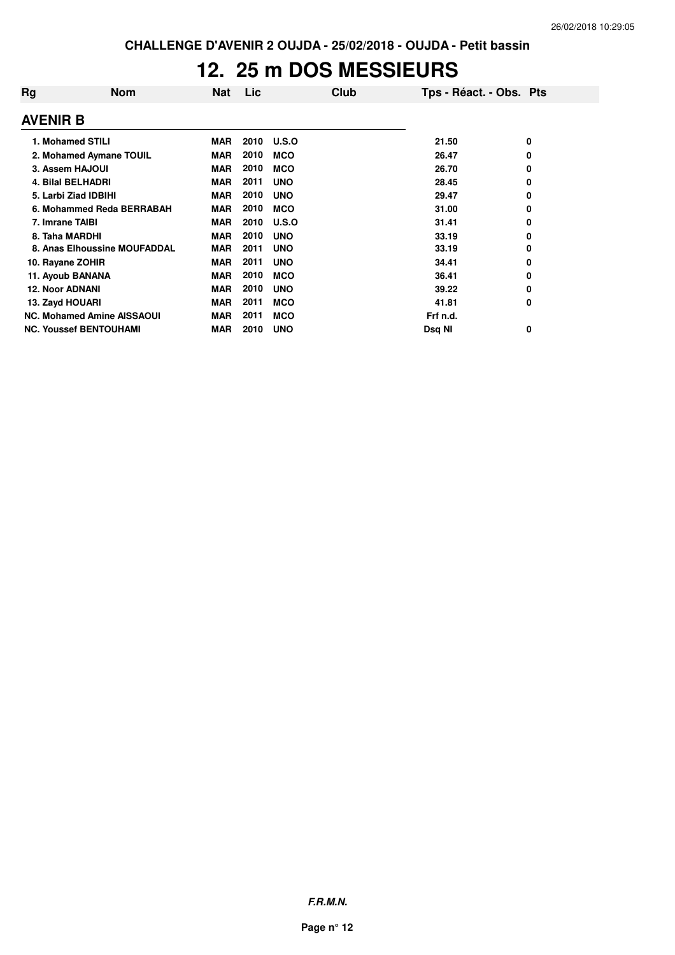# **12. 25 m DOS MESSIEURS**

| Rg                       | <b>Nom</b>                        | <b>Nat</b> | Lic  | Club         | Tps - Réact. - Obs. Pts |   |
|--------------------------|-----------------------------------|------------|------|--------------|-------------------------|---|
| <b>AVENIR B</b>          |                                   |            |      |              |                         |   |
| 1. Mohamed STILI         |                                   | <b>MAR</b> | 2010 | <b>U.S.O</b> | 21.50                   | 0 |
|                          | 2. Mohamed Aymane TOUIL           | <b>MAR</b> | 2010 | <b>MCO</b>   | 26.47                   | 0 |
| 3. Assem HAJOUI          |                                   | <b>MAR</b> | 2010 | <b>MCO</b>   | 26.70                   | 0 |
| <b>4. Bilal BELHADRI</b> |                                   | <b>MAR</b> | 2011 | <b>UNO</b>   | 28.45                   | 0 |
| 5. Larbi Ziad IDBIHI     |                                   | <b>MAR</b> | 2010 | <b>UNO</b>   | 29.47                   | 0 |
|                          | 6. Mohammed Reda BERRABAH         | <b>MAR</b> | 2010 | <b>MCO</b>   | 31.00                   | 0 |
| 7. Imrane TAIBI          |                                   | <b>MAR</b> | 2010 | <b>U.S.O</b> | 31.41                   | 0 |
| 8. Taha MARDHI           |                                   | <b>MAR</b> | 2010 | <b>UNO</b>   | 33.19                   | 0 |
|                          | 8. Anas Elhoussine MOUFADDAL      | <b>MAR</b> | 2011 | <b>UNO</b>   | 33.19                   | 0 |
| 10. Rayane ZOHIR         |                                   | <b>MAR</b> | 2011 | <b>UNO</b>   | 34.41                   | 0 |
| 11. Ayoub BANANA         |                                   | <b>MAR</b> | 2010 | <b>MCO</b>   | 36.41                   | 0 |
| <b>12. Noor ADNANI</b>   |                                   | <b>MAR</b> | 2010 | <b>UNO</b>   | 39.22                   | 0 |
| 13. Zayd HOUARI          |                                   | <b>MAR</b> | 2011 | <b>MCO</b>   | 41.81                   | 0 |
|                          | <b>NC. Mohamed Amine AISSAOUI</b> | <b>MAR</b> | 2011 | <b>MCO</b>   | Frf n.d.                |   |
|                          | <b>NC. Youssef BENTOUHAMI</b>     | <b>MAR</b> | 2010 | <b>UNO</b>   | Dsg NI                  | 0 |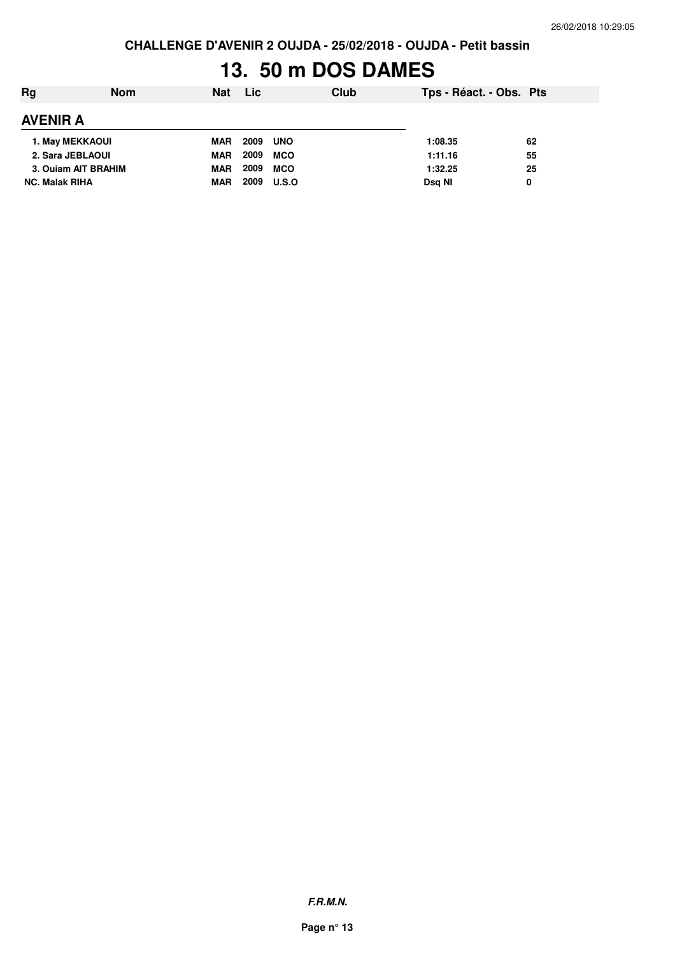# **13. 50 m DOS DAMES**

| Rg                    | <b>Nom</b> | <b>Nat</b> | <b>Lic</b> |              | Club | Tps - Réact. - Obs. Pts |    |
|-----------------------|------------|------------|------------|--------------|------|-------------------------|----|
| <b>AVENIR A</b>       |            |            |            |              |      |                         |    |
| 1. May MEKKAOUI       |            | <b>MAR</b> | 2009       | <b>UNO</b>   |      | 1:08.35                 | 62 |
| 2. Sara JEBLAOUI      |            | <b>MAR</b> | 2009       | <b>MCO</b>   |      | 1:11.16                 | 55 |
| 3. Ouiam AIT BRAHIM   |            | <b>MAR</b> | 2009       | <b>MCO</b>   |      | 1:32.25                 | 25 |
| <b>NC. Malak RIHA</b> |            | <b>MAR</b> | 2009       | <b>U.S.O</b> |      | Dsg NI                  | 0  |

**F.R.M.N.**

**Page n° 13**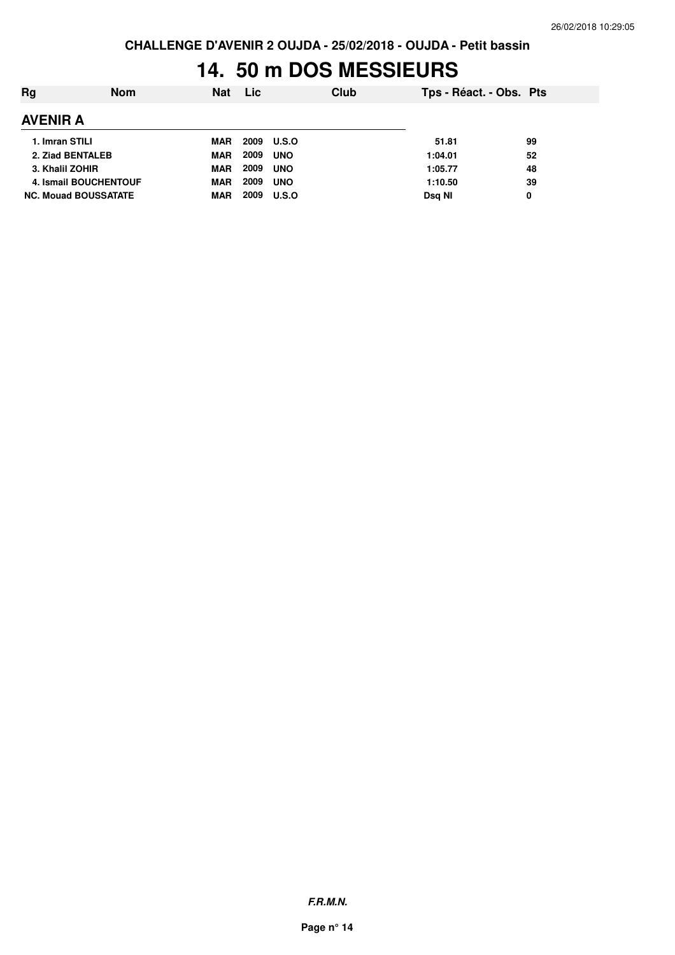# **14. 50 m DOS MESSIEURS**

| Rg                           | <b>Nom</b> | <b>Nat</b> | <b>Lic</b> |              | Club | Tps - Réact. - Obs. Pts |    |
|------------------------------|------------|------------|------------|--------------|------|-------------------------|----|
| <b>AVENIR A</b>              |            |            |            |              |      |                         |    |
| 1. Imran STILI               |            | MAR        | 2009       | <b>U.S.O</b> |      | 51.81                   | 99 |
| 2. Ziad BENTALEB             |            | <b>MAR</b> | 2009       | <b>UNO</b>   |      | 1:04.01                 | 52 |
| 3. Khalil ZOHIR              |            | <b>MAR</b> | 2009       | <b>UNO</b>   |      | 1:05.77                 | 48 |
| <b>4. Ismail BOUCHENTOUF</b> |            | <b>MAR</b> | 2009       | <b>UNO</b>   |      | 1:10.50                 | 39 |
| <b>NC. Mouad BOUSSATATE</b>  |            | <b>MAR</b> | 2009       | U.S.O        |      | Dsg NI                  | 0  |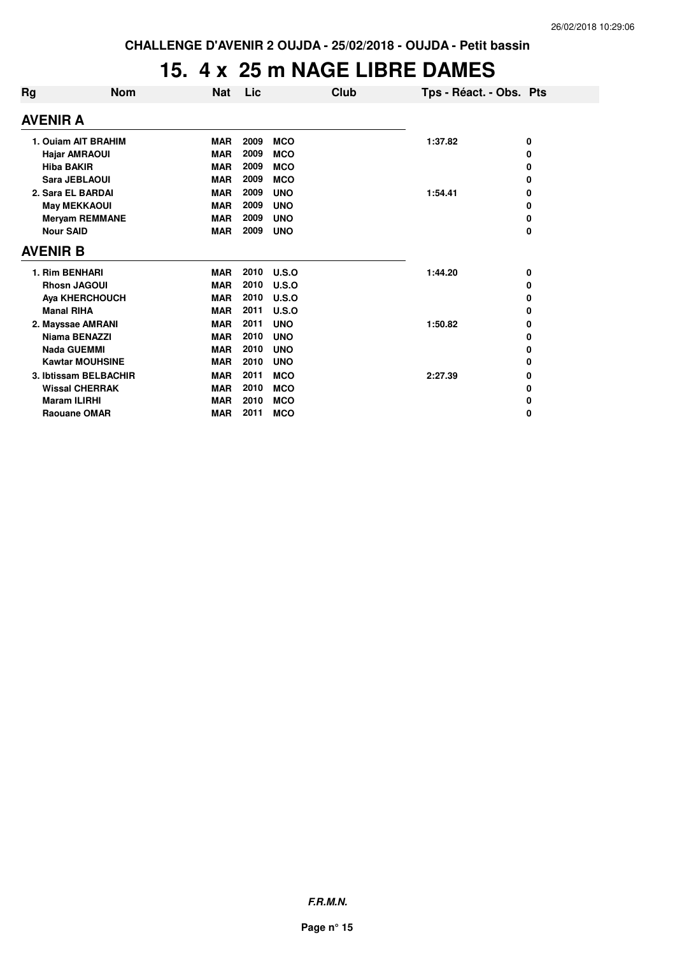### **15. 4 x 25 m NAGE LIBRE DAMES**

| Rg                     | <b>Nom</b> | Nat        | Lic  |            | Club | Tps - Réact. - Obs. Pts |   |
|------------------------|------------|------------|------|------------|------|-------------------------|---|
| AVENIR A               |            |            |      |            |      |                         |   |
| 1. Ouiam AIT BRAHIM    |            | <b>MAR</b> | 2009 | <b>MCO</b> |      | 1:37.82                 | 0 |
| <b>Hajar AMRAOUI</b>   |            | <b>MAR</b> | 2009 | <b>MCO</b> |      |                         | 0 |
| <b>Hiba BAKIR</b>      |            | <b>MAR</b> | 2009 | <b>MCO</b> |      |                         | 0 |
| <b>Sara JEBLAOUI</b>   |            | <b>MAR</b> | 2009 | <b>MCO</b> |      |                         | 0 |
| 2. Sara EL BARDAI      |            | <b>MAR</b> | 2009 | <b>UNO</b> |      | 1:54.41                 | 0 |
| <b>May MEKKAOUI</b>    |            | <b>MAR</b> | 2009 | <b>UNO</b> |      |                         | 0 |
| <b>Meryam REMMANE</b>  |            | <b>MAR</b> | 2009 | <b>UNO</b> |      |                         | 0 |
| <b>Nour SAID</b>       |            | <b>MAR</b> | 2009 | <b>UNO</b> |      |                         | 0 |
| AVENIR B               |            |            |      |            |      |                         |   |
| 1. Rim BENHARI         |            | <b>MAR</b> | 2010 | U.S.O      |      | 1:44.20                 | 0 |
| <b>Rhosn JAGOUI</b>    |            | <b>MAR</b> | 2010 | U.S.O      |      |                         | 0 |
| <b>Aya KHERCHOUCH</b>  |            | <b>MAR</b> | 2010 | U.S.O      |      |                         | 0 |
| <b>Manal RIHA</b>      |            | <b>MAR</b> | 2011 | U.S.O      |      |                         | 0 |
| 2. Mayssae AMRANI      |            | <b>MAR</b> | 2011 | <b>UNO</b> |      | 1:50.82                 | 0 |
| Niama BENAZZI          |            | <b>MAR</b> | 2010 | <b>UNO</b> |      |                         | 0 |
| <b>Nada GUEMMI</b>     |            | <b>MAR</b> | 2010 | <b>UNO</b> |      |                         | 0 |
| <b>Kawtar MOUHSINE</b> |            | <b>MAR</b> | 2010 | <b>UNO</b> |      |                         | 0 |
| 3. Ibtissam BELBACHIR  |            | <b>MAR</b> | 2011 | <b>MCO</b> |      | 2:27.39                 | 0 |
| <b>Wissal CHERRAK</b>  |            | <b>MAR</b> | 2010 | <b>MCO</b> |      |                         | 0 |
| <b>Maram ILIRHI</b>    |            | <b>MAR</b> | 2010 | <b>MCO</b> |      |                         | 0 |
| <b>Raouane OMAR</b>    |            | <b>MAR</b> | 2011 | <b>MCO</b> |      |                         | 0 |
|                        |            |            |      |            |      |                         |   |